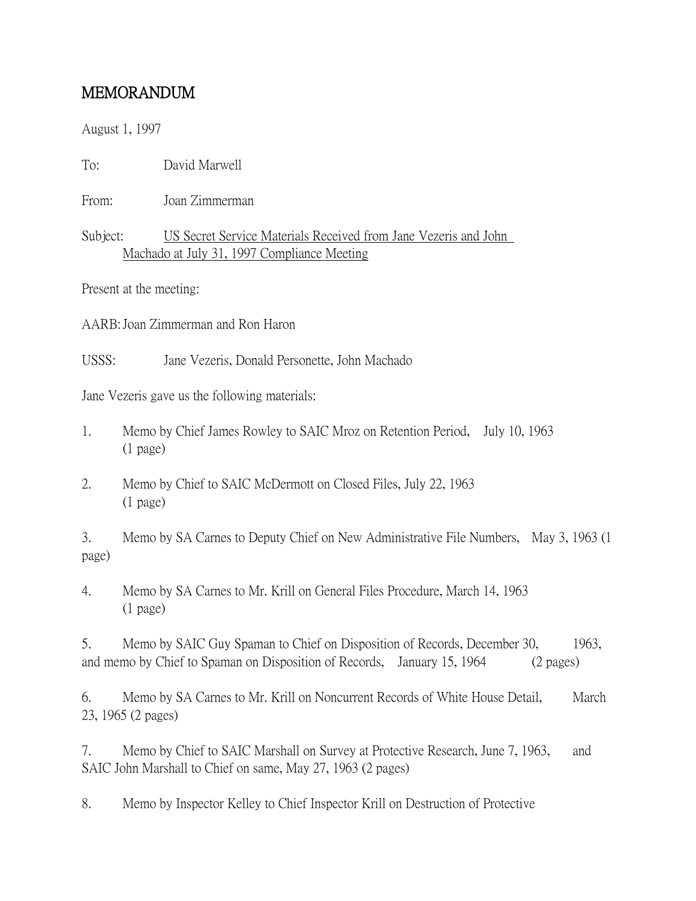## MEMORANDUM

August 1, 1997

To: David Marwell

From: Joan Zimmerman

## Subject: US Secret Service Materials Received from Jane Vezeris and John Machado at July 31, 1997 Compliance Meeting

Present at the meeting:

AARB:Joan Zimmerman and Ron Haron

USSS: Jane Vezeris, Donald Personette, John Machado

Jane Vezeris gave us the following materials:

- 1. Memo by Chief James Rowley to SAIC Mroz on Retention Period, July 10, 1963 (1 page)
- 2. Memo by Chief to SAIC McDermott on Closed Files, July 22, 1963 (1 page)

3. Memo by SA Carnes to Deputy Chief on New Administrative File Numbers, May 3, 1963 (1 page)

4. Memo by SA Carnes to Mr. Krill on General Files Procedure, March 14, 1963 (1 page)

5. Memo by SAIC Guy Spaman to Chief on Disposition of Records, December 30, 1963, and memo by Chief to Spaman on Disposition of Records, January 15, 1964 (2 pages)

6. Memo by SA Carnes to Mr. Krill on Noncurrent Records of White House Detail, March 23, 1965 (2 pages)

7. Memo by Chief to SAIC Marshall on Survey at Protective Research, June 7, 1963, and SAIC John Marshall to Chief on same, May 27, 1963 (2 pages)

8. Memo by Inspector Kelley to Chief Inspector Krill on Destruction of Protective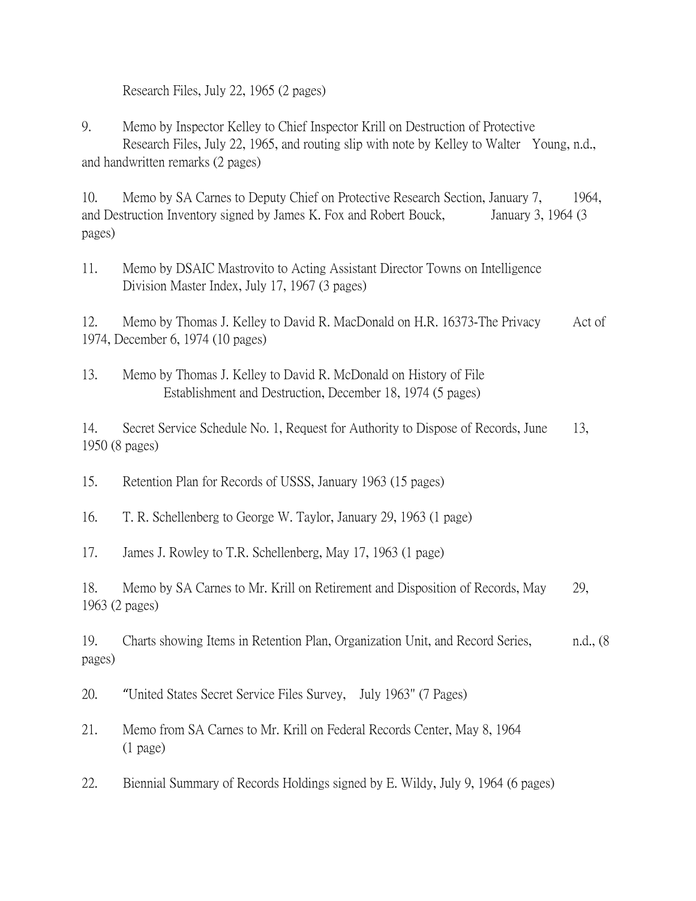Research Files, July 22, 1965 (2 pages)

9. Memo by Inspector Kelley to Chief Inspector Krill on Destruction of Protective Research Files, July 22, 1965, and routing slip with note by Kelley to Walter Young, n.d., and handwritten remarks (2 pages)

10. Memo by SA Carnes to Deputy Chief on Protective Research Section, January 7, 1964, and Destruction Inventory signed by James K. Fox and Robert Bouck, January 3, 1964 (3) pages)

11. Memo by DSAIC Mastrovito to Acting Assistant Director Towns on Intelligence Division Master Index, July 17, 1967 (3 pages)

12. Memo by Thomas J. Kelley to David R. MacDonald on H.R. 16373-The Privacy Act of 1974, December 6, 1974 (10 pages)

14. Secret Service Schedule No. 1, Request for Authority to Dispose of Records, June 13, 1950 (8 pages)

15. Retention Plan for Records of USSS, January 1963 (15 pages)

16. T. R. Schellenberg to George W. Taylor, January 29, 1963 (1 page)

17. James J. Rowley to T.R. Schellenberg, May 17, 1963 (1 page)

18. Memo by SA Carnes to Mr. Krill on Retirement and Disposition of Records, May 29, 1963 (2 pages)

19. Charts showing Items in Retention Plan, Organization Unit, and Record Series, n.d., (8 pages)

20. "United States Secret Service Files Survey, July 1963" (7 Pages)

21. Memo from SA Carnes to Mr. Krill on Federal Records Center, May 8, 1964 (1 page)

22. Biennial Summary of Records Holdings signed by E. Wildy, July 9, 1964 (6 pages)

<sup>13.</sup> Memo by Thomas J. Kelley to David R. McDonald on History of File Establishment and Destruction, December 18, 1974 (5 pages)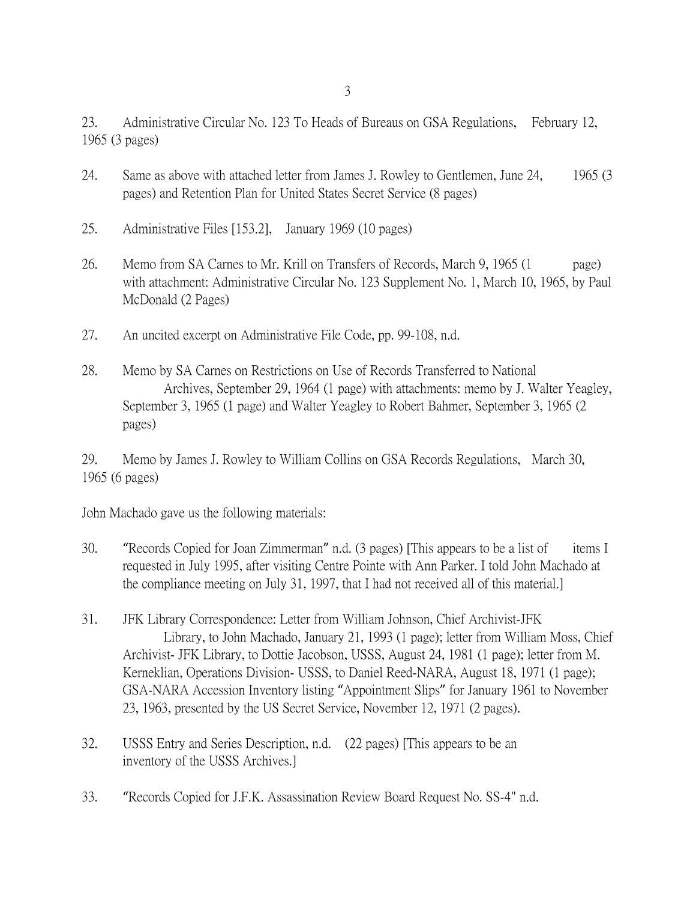23. Administrative Circular No. 123 To Heads of Bureaus on GSA Regulations, February 12, 1965 (3 pages)

- 24. Same as above with attached letter from James J. Rowley to Gentlemen, June 24, 1965 (3 pages) and Retention Plan for United States Secret Service (8 pages)
- 25. Administrative Files [153.2], January 1969 (10 pages)
- 26. Memo from SA Carnes to Mr. Krill on Transfers of Records, March 9, 1965 (1 page) with attachment: Administrative Circular No. 123 Supplement No. 1, March 10, 1965, by Paul McDonald (2 Pages)
- 27. An uncited excerpt on Administrative File Code, pp. 99-108, n.d.
- 28. Memo by SA Carnes on Restrictions on Use of Records Transferred to National Archives, September 29, 1964 (1 page) with attachments: memo by J. Walter Yeagley, September 3, 1965 (1 page) and Walter Yeagley to Robert Bahmer, September 3, 1965 (2 pages)

29. Memo by James J. Rowley to William Collins on GSA Records Regulations, March 30, 1965 (6 pages)

John Machado gave us the following materials:

- 30. "Records Copied for Joan Zimmerman" n.d. (3 pages) [This appears to be a list of items I requested in July 1995, after visiting Centre Pointe with Ann Parker. I told John Machado at the compliance meeting on July 31, 1997, that I had not received all of this material.]
- 31. JFK Library Correspondence: Letter from William Johnson, Chief Archivist-JFK Library, to John Machado, January 21, 1993 (1 page); letter from William Moss, Chief Archivist- JFK Library, to Dottie Jacobson, USSS, August 24, 1981 (1 page); letter from M. Kerneklian, Operations Division- USSS, to Daniel Reed-NARA, August 18, 1971 (1 page); GSA-NARA Accession Inventory listing "Appointment Slips" for January 1961 to November 23, 1963, presented by the US Secret Service, November 12, 1971 (2 pages).
- 32. USSS Entry and Series Description, n.d. (22 pages) [This appears to be an inventory of the USSS Archives.]
- 33. "Records Copied for J.F.K. Assassination Review Board Request No. SS-4" n.d.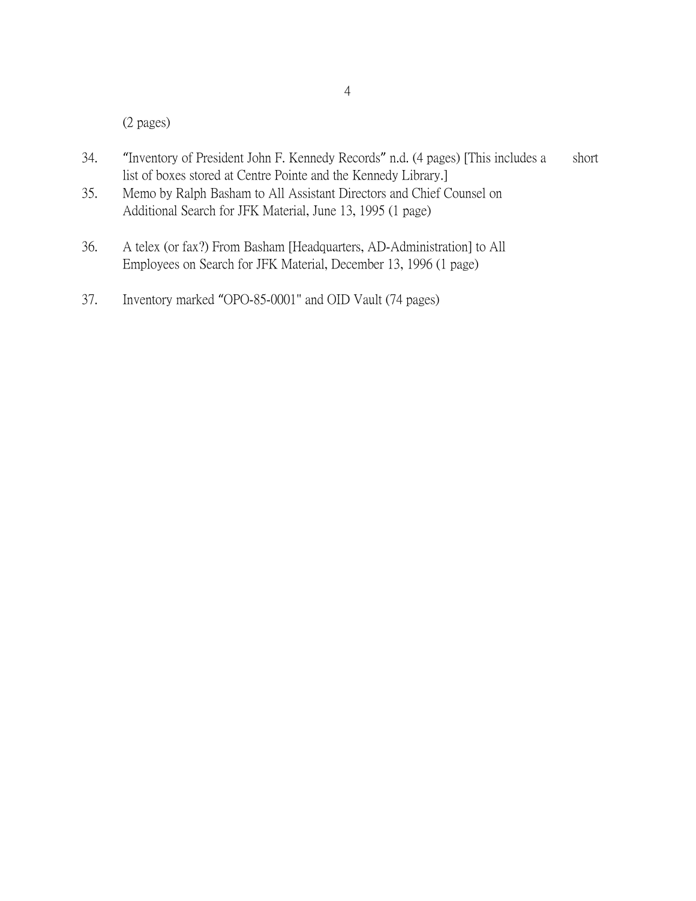(2 pages)

- 34. "Inventory of President John F. Kennedy Records" n.d. (4 pages) [This includes a short list of boxes stored at Centre Pointe and the Kennedy Library.]
- 35. Memo by Ralph Basham to All Assistant Directors and Chief Counsel on Additional Search for JFK Material, June 13, 1995 (1 page)
- 36. A telex (or fax?) From Basham [Headquarters, AD-Administration] to All Employees on Search for JFK Material, December 13, 1996 (1 page)
- 37. Inventory marked "OPO-85-0001" and OID Vault (74 pages)